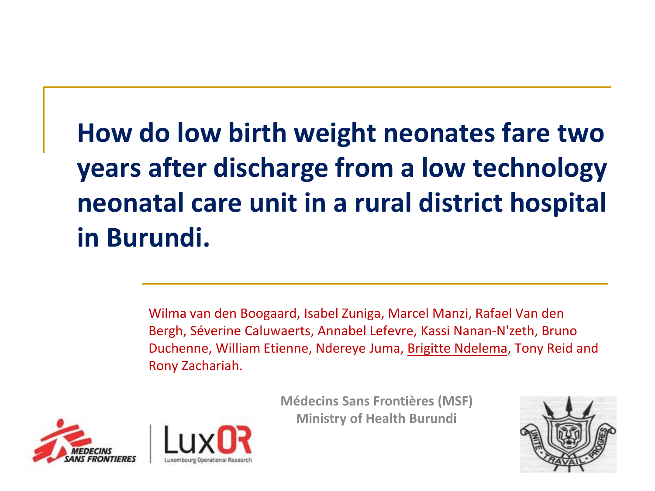#### **How do low birth weight neonates fare two years after discharge from a low technology neonatal care unit in a rural district hospital in Burundi.**

Wilma van den Boogaard, Isabel Zuniga, Marcel Manzi, Rafael Van den Bergh, Séverine Caluwaerts, Annabel Lefevre, Kassi Nanan-N'zeth, Bruno Duchenne, William Etienne, Ndereye Juma, Brigitte Ndelema, Tony Reid and Rony Zachariah.





**Médecins Sans Frontières (MSF) Ministry of Health Burundi**

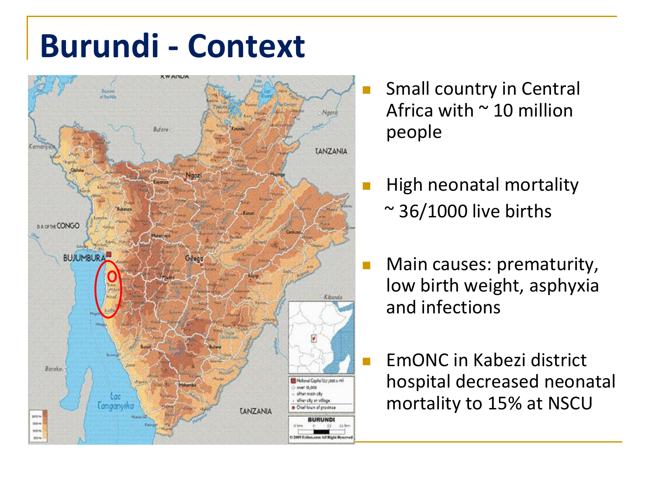### **Burundi - Context**



- Small country in Central Africa with  $\sim$  10 million people
- High neonatal mortality  $\approx$  36/1000 live births
- Main causes: prematurity, low birth weight, asphyxia and infections
	- EmONC in Kabezi district hospital decreased neonatal mortality to 15% at NSCU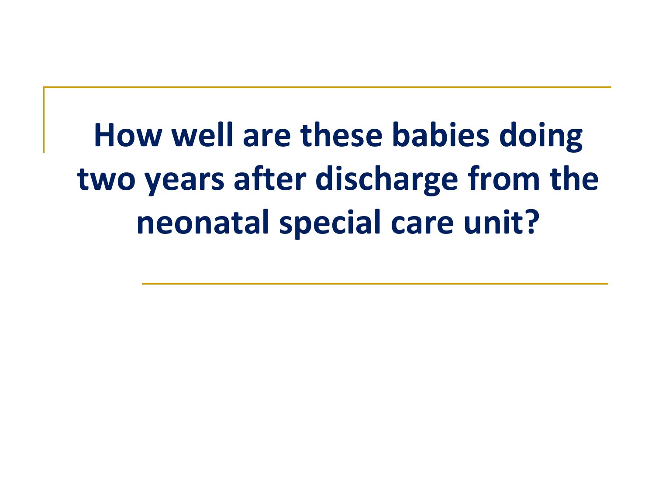**How well are these babies doing two years after discharge from the neonatal special care unit?**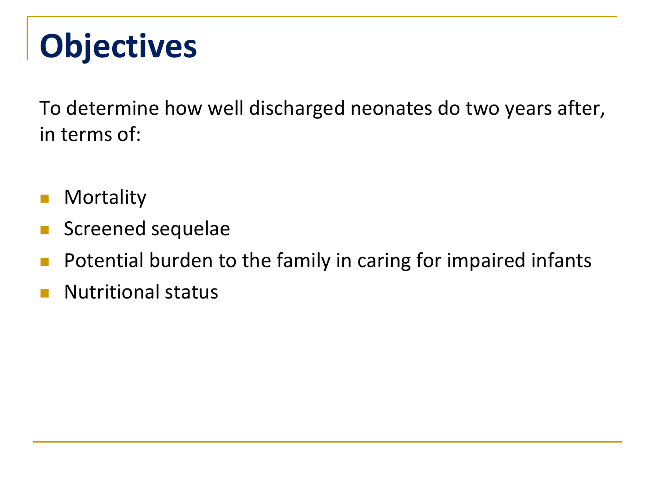### **Objectives**

To determine how well discharged neonates do two years after, in terms of:

- **Mortality**
- Screened sequelae
- Potential burden to the family in caring for impaired infants
- **Nutritional status**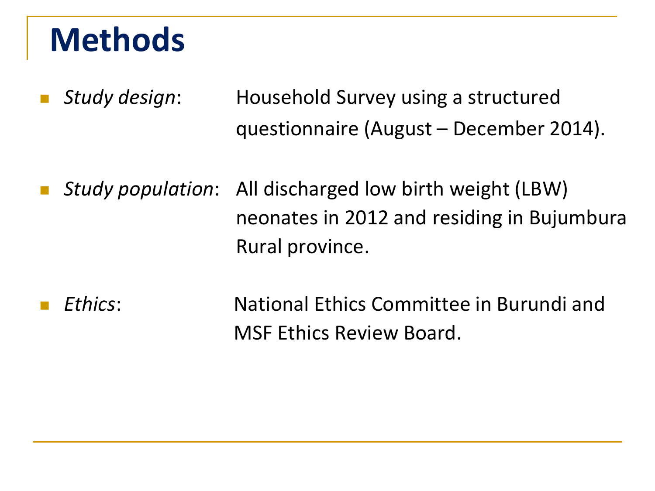#### **Methods**

- *Study design*: Household Survey using a structured questionnaire (August – December 2014).
- *Study population*: All discharged low birth weight (LBW) neonates in 2012 and residing in Bujumbura Rural province.
- *Ethics*: National Ethics Committee in Burundi and MSF Ethics Review Board.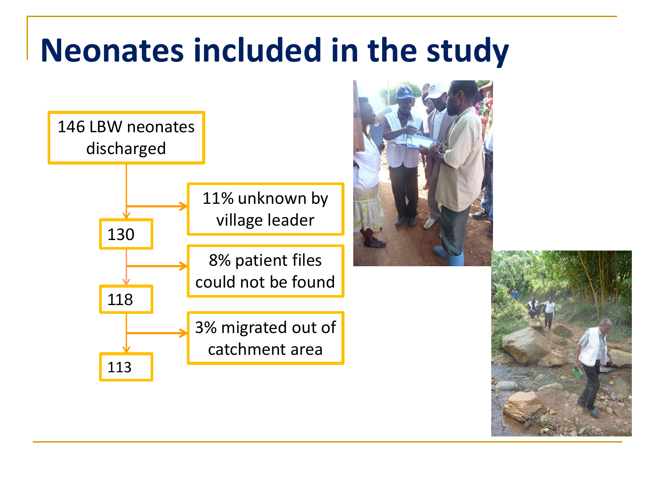### **Neonates included in the study**





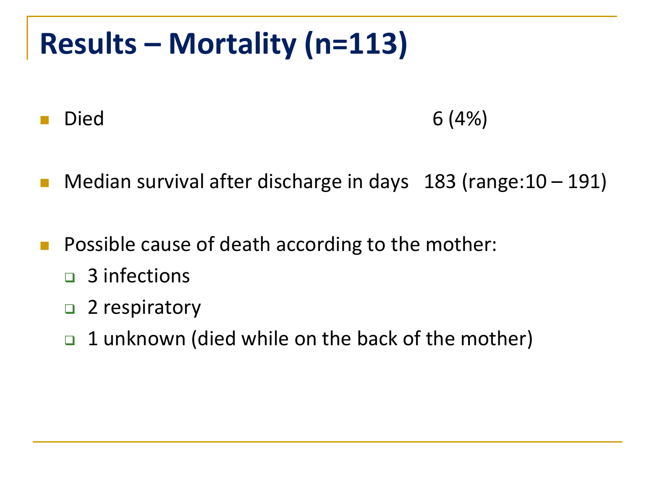#### **Results – Mortality (n=113)**

 $\Box$  Died 6 (4%)

- **Median survival after discharge in days**  $183$  (range: $10 191$ )
- **Possible cause of death according to the mother:** 
	- $\Box$  3 infections
	- $\Box$  2 respiratory
	- $\Box$  1 unknown (died while on the back of the mother)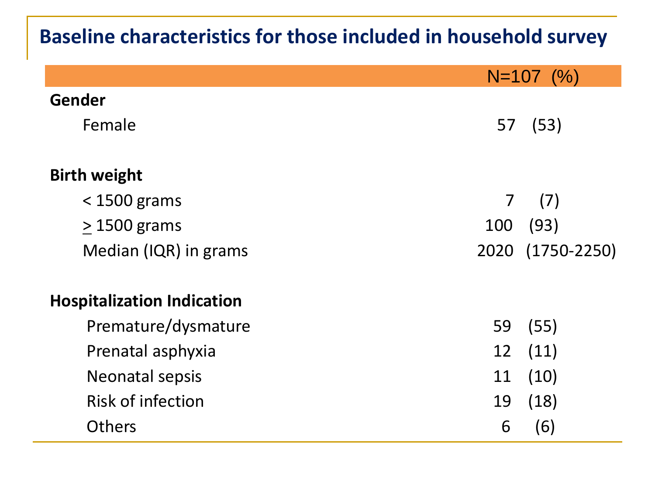#### **Baseline characteristics for those included in household survey**

|                                   | $N=107$ (%)      |  |  |
|-----------------------------------|------------------|--|--|
| Gender                            |                  |  |  |
| Female                            | 57 (53)          |  |  |
| <b>Birth weight</b>               |                  |  |  |
| $<$ 1500 grams                    | 7<br>(7)         |  |  |
| $>1500$ grams                     | 100 (93)         |  |  |
| Median (IQR) in grams             | 2020 (1750-2250) |  |  |
| <b>Hospitalization Indication</b> |                  |  |  |
| Premature/dysmature               | 59 (55)          |  |  |
| Prenatal asphyxia                 | 12(11)           |  |  |
| <b>Neonatal sepsis</b>            | (10)<br>11       |  |  |
| <b>Risk of infection</b>          | (18)<br>19       |  |  |
| <b>Others</b>                     | 6<br>(6)         |  |  |
|                                   |                  |  |  |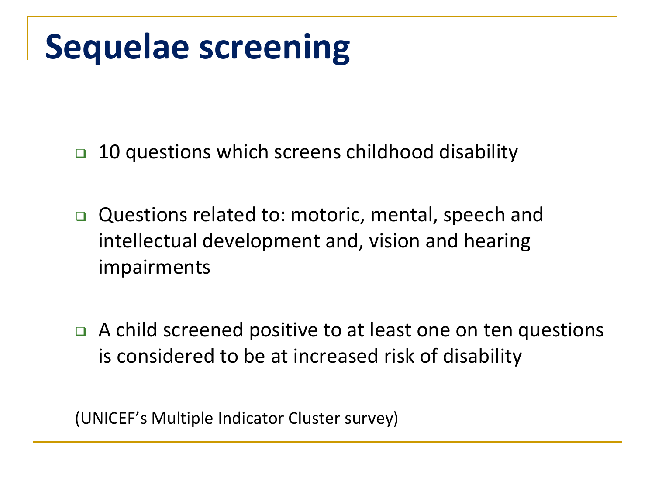## **Sequelae screening**

- □ 10 questions which screens childhood disability
- **□** Questions related to: motoric, mental, speech and intellectual development and, vision and hearing impairments
- □ A child screened positive to at least one on ten questions is considered to be at increased risk of disability

(UNICEF's Multiple Indicator Cluster survey)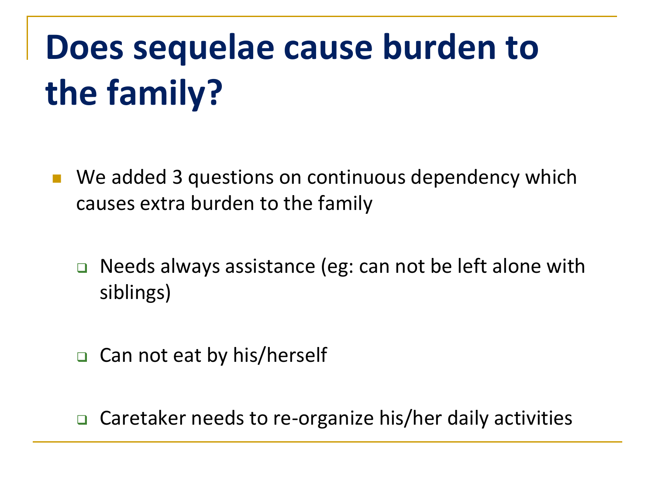## **Does sequelae cause burden to the family?**

- We added 3 questions on continuous dependency which causes extra burden to the family
	- □ Needs always assistance (eg: can not be left alone with siblings)
	- **□** Can not eat by his/herself
	- □ Caretaker needs to re-organize his/her daily activities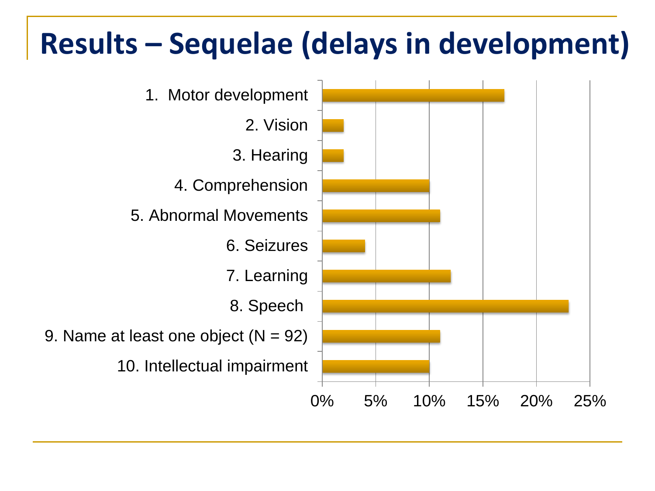#### **Results – Sequelae (delays in development)**

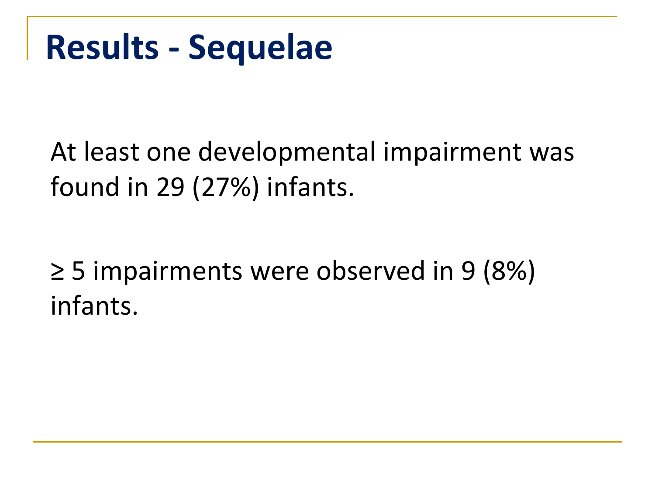### **Results - Sequelae**

At least one developmental impairment was found in 29 (27%) infants.

 $\geq$  5 impairments were observed in 9 (8%) infants.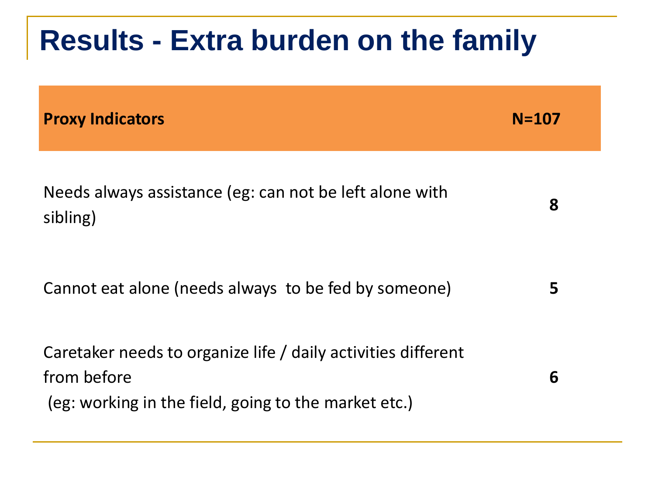# **Results - Extra burden on the family Proxy Indicators N=107**  Needs always assistance (eg: can not be left alone with sibling) **<sup>8</sup>** Cannot eat alone (needs always to be fed by someone) **5**  Caretaker needs to organize life / daily activities different from before (eg: working in the field, going to the market etc.) **6**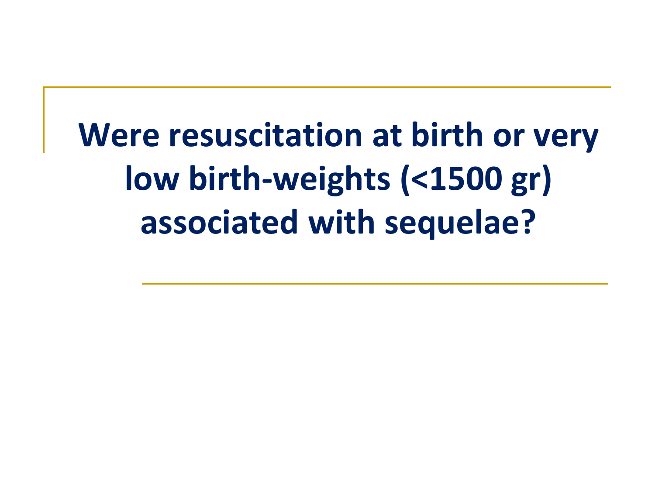**Were resuscitation at birth or very low birth-weights (<1500 gr) associated with sequelae?**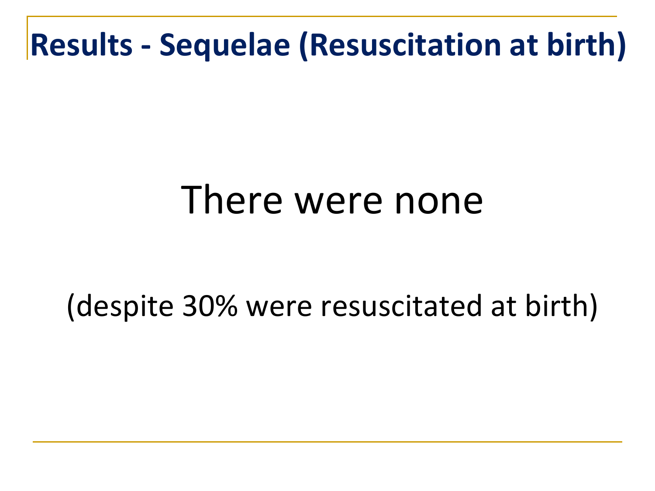#### **Results - Sequelae (Resuscitation at birth)**

## There were none

#### (despite 30% were resuscitated at birth)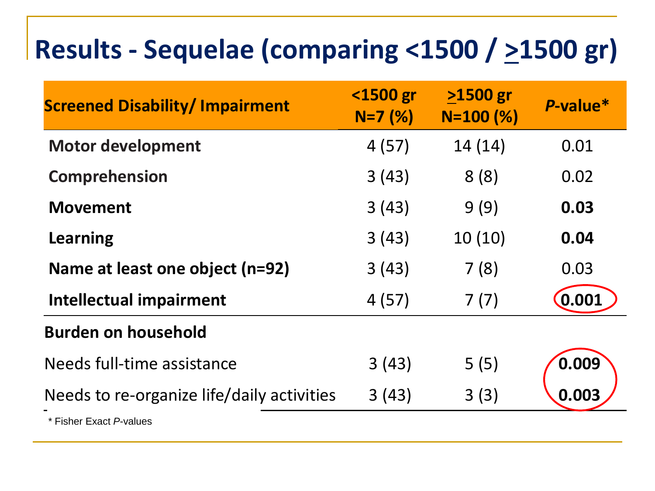#### **Results - Sequelae (comparing <1500 / >1500 gr)**

| <b>Screened Disability/Impairment</b>      | $1500 gr$<br>$N=7(%)$ | $>1500$ gr<br>$N=100(%)$ | P-value* |
|--------------------------------------------|-----------------------|--------------------------|----------|
| <b>Motor development</b>                   | 4(57)                 | 14(14)                   | 0.01     |
| <b>Comprehension</b>                       | 3(43)                 | 8(8)                     | 0.02     |
| <b>Movement</b>                            | 3(43)                 | 9(9)                     | 0.03     |
| Learning                                   | 3(43)                 | 10(10)                   | 0.04     |
| Name at least one object (n=92)            | 3(43)                 | 7(8)                     | 0.03     |
| Intellectual impairment                    | 4(57)                 | 7(7)                     | 0.001    |
| <b>Burden on household</b>                 |                       |                          |          |
| Needs full-time assistance                 | 3(43)                 | 5(5)                     | 0.009    |
| Needs to re-organize life/daily activities | 3(43)                 | 3(3)                     | 0.003    |

\* Fisher Exact *P*-values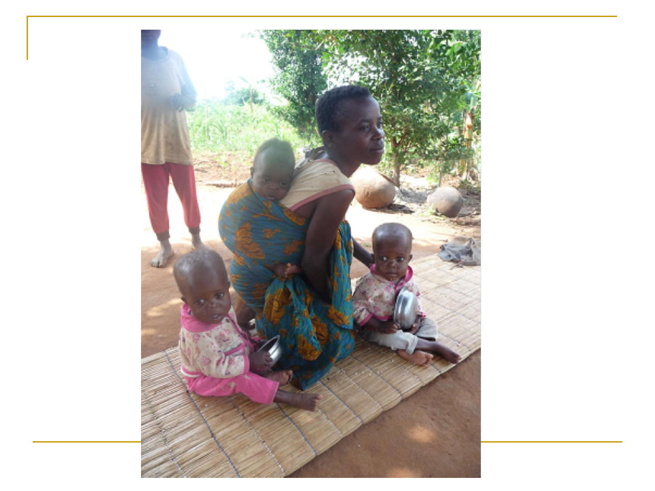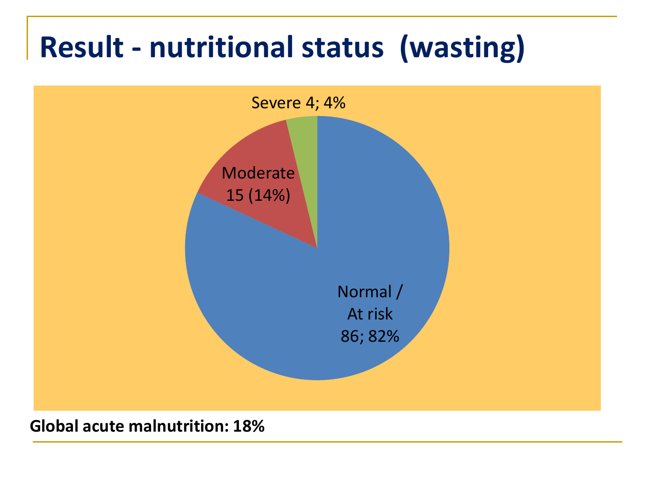### **Result - nutritional status (wasting)**



**Global acute malnutrition: 18%**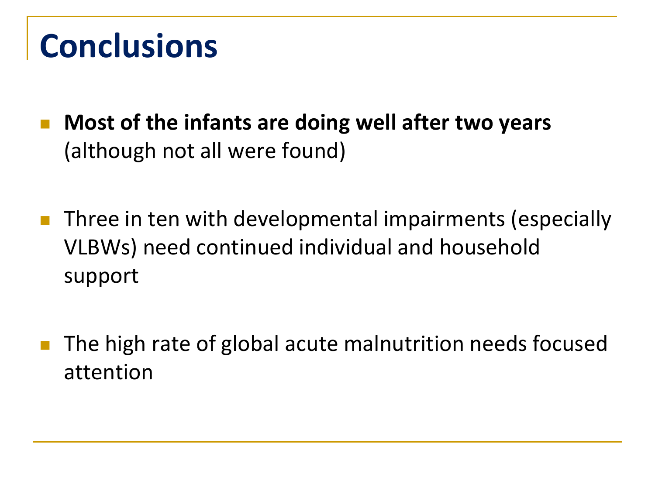### **Conclusions**

- **Most of the infants are doing well after two years**  (although not all were found)
- **Three in ten with developmental impairments (especially** VLBWs) need continued individual and household support
- **The high rate of global acute malnutrition needs focused** attention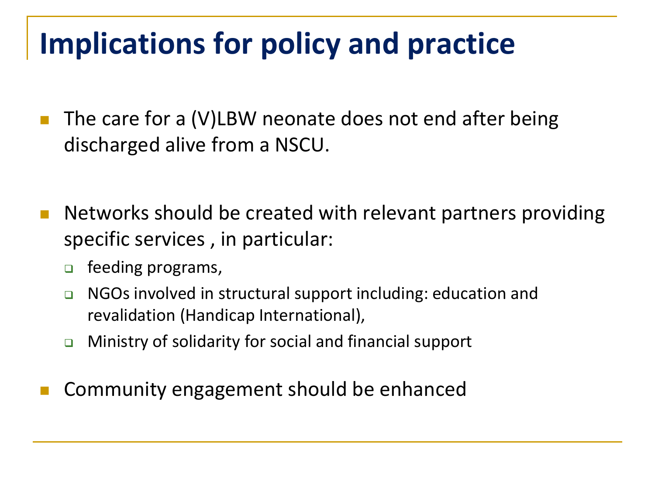#### **Implications for policy and practice**

- $\blacksquare$  The care for a (V)LBW neonate does not end after being discharged alive from a NSCU.
- **Networks should be created with relevant partners providing** specific services , in particular:
	- $\Box$  feeding programs,
	- □ NGOs involved in structural support including: education and revalidation (Handicap International),
	- Ministry of solidarity for social and financial support
- Community engagement should be enhanced